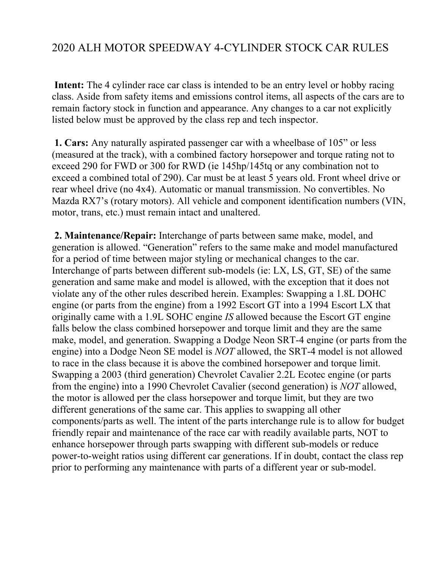## 2020 ALH MOTOR SPEEDWAY 4-CYLINDER STOCK CAR RULES

**Intent:** The 4 cylinder race car class is intended to be an entry level or hobby racing class. Aside from safety items and emissions control items, all aspects of the cars are to remain factory stock in function and appearance. Any changes to a car not explicitly listed below must be approved by the class rep and tech inspector.

**1. Cars:** Any naturally aspirated passenger car with a wheelbase of 105" or less (measured at the track), with a combined factory horsepower and torque rating not to exceed 290 for FWD or 300 for RWD (ie 145hp/145tq or any combination not to exceed a combined total of 290). Car must be at least 5 years old. Front wheel drive or rear wheel drive (no 4x4). Automatic or manual transmission. No convertibles. No Mazda RX7's (rotary motors). All vehicle and component identification numbers (VIN, motor, trans, etc.) must remain intact and unaltered.

**2. Maintenance/Repair:** Interchange of parts between same make, model, and generation is allowed. "Generation" refers to the same make and model manufactured for a period of time between major styling or mechanical changes to the car. Interchange of parts between different sub-models (ie: LX, LS, GT, SE) of the same generation and same make and model is allowed, with the exception that it does not violate any of the other rules described herein. Examples: Swapping a 1.8L DOHC engine (or parts from the engine) from a 1992 Escort GT into a 1994 Escort LX that originally came with a 1.9L SOHC engine *IS* allowed because the Escort GT engine falls below the class combined horsepower and torque limit and they are the same make, model, and generation. Swapping a Dodge Neon SRT-4 engine (or parts from the engine) into a Dodge Neon SE model is *NOT* allowed, the SRT-4 model is not allowed to race in the class because it is above the combined horsepower and torque limit. Swapping a 2003 (third generation) Chevrolet Cavalier 2.2L Ecotec engine (or parts from the engine) into a 1990 Chevrolet Cavalier (second generation) is *NOT* allowed, the motor is allowed per the class horsepower and torque limit, but they are two different generations of the same car. This applies to swapping all other components/parts as well. The intent of the parts interchange rule is to allow for budget friendly repair and maintenance of the race car with readily available parts, NOT to enhance horsepower through parts swapping with different sub-models or reduce power-to-weight ratios using different car generations. If in doubt, contact the class rep prior to performing any maintenance with parts of a different year or sub-model.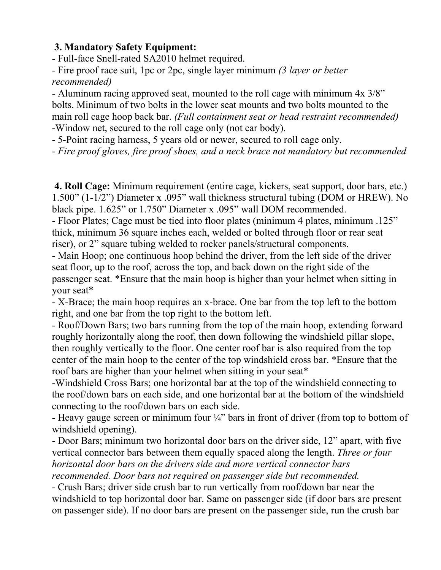## **3. Mandatory Safety Equipment:**

- Full-face Snell-rated SA2010 helmet required.

- Fire proof race suit, 1pc or 2pc, single layer minimum *(3 layer or better recommended)* 

- Aluminum racing approved seat, mounted to the roll cage with minimum 4x 3/8" bolts. Minimum of two bolts in the lower seat mounts and two bolts mounted to the main roll cage hoop back bar. *(Full containment seat or head restraint recommended)*  -Window net, secured to the roll cage only (not car body).

- 5-Point racing harness, 5 years old or newer, secured to roll cage only.

- *Fire proof gloves, fire proof shoes, and a neck brace not mandatory but recommended*

**4. Roll Cage:** Minimum requirement (entire cage, kickers, seat support, door bars, etc.) 1.500" (1-1/2") Diameter x .095" wall thickness structural tubing (DOM or HREW). No black pipe. 1.625" or 1.750" Diameter x .095" wall DOM recommended.

- Floor Plates; Cage must be tied into floor plates (minimum 4 plates, minimum .125" thick, minimum 36 square inches each, welded or bolted through floor or rear seat riser), or 2" square tubing welded to rocker panels/structural components.

- Main Hoop; one continuous hoop behind the driver, from the left side of the driver seat floor, up to the roof, across the top, and back down on the right side of the passenger seat. \*Ensure that the main hoop is higher than your helmet when sitting in your seat\*

- X-Brace; the main hoop requires an x-brace. One bar from the top left to the bottom right, and one bar from the top right to the bottom left.

- Roof/Down Bars; two bars running from the top of the main hoop, extending forward roughly horizontally along the roof, then down following the windshield pillar slope, then roughly vertically to the floor. One center roof bar is also required from the top center of the main hoop to the center of the top windshield cross bar. \*Ensure that the roof bars are higher than your helmet when sitting in your seat\*

-Windshield Cross Bars; one horizontal bar at the top of the windshield connecting to the roof/down bars on each side, and one horizontal bar at the bottom of the windshield connecting to the roof/down bars on each side.

- Heavy gauge screen or minimum four  $\frac{1}{4}$ " bars in front of driver (from top to bottom of windshield opening).

- Door Bars; minimum two horizontal door bars on the driver side, 12" apart, with five vertical connector bars between them equally spaced along the length. *Three or four horizontal door bars on the drivers side and more vertical connector bars recommended. Door bars not required on passenger side but recommended.* 

- Crush Bars; driver side crush bar to run vertically from roof/down bar near the windshield to top horizontal door bar. Same on passenger side (if door bars are present on passenger side). If no door bars are present on the passenger side, run the crush bar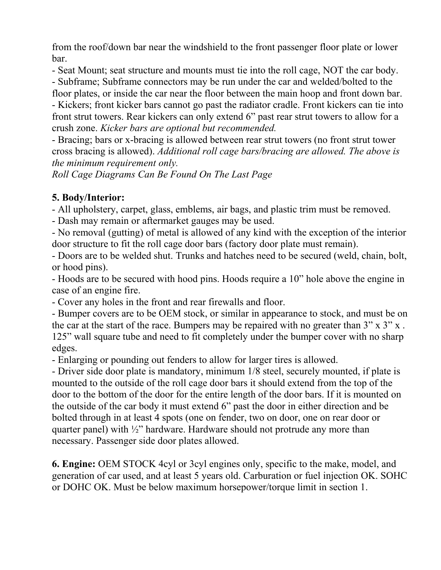from the roof/down bar near the windshield to the front passenger floor plate or lower bar.

- Seat Mount; seat structure and mounts must tie into the roll cage, NOT the car body.

- Subframe; Subframe connectors may be run under the car and welded/bolted to the

floor plates, or inside the car near the floor between the main hoop and front down bar. - Kickers; front kicker bars cannot go past the radiator cradle. Front kickers can tie into front strut towers. Rear kickers can only extend 6" past rear strut towers to allow for a crush zone. *Kicker bars are optional but recommended.* 

- Bracing; bars or x-bracing is allowed between rear strut towers (no front strut tower cross bracing is allowed). *Additional roll cage bars/bracing are allowed. The above is the minimum requirement only.*

*Roll Cage Diagrams Can Be Found On The Last Page*

## **5. Body/Interior:**

- All upholstery, carpet, glass, emblems, air bags, and plastic trim must be removed.

- Dash may remain or aftermarket gauges may be used.

- No removal (gutting) of metal is allowed of any kind with the exception of the interior door structure to fit the roll cage door bars (factory door plate must remain).

- Doors are to be welded shut. Trunks and hatches need to be secured (weld, chain, bolt, or hood pins).

- Hoods are to be secured with hood pins. Hoods require a 10" hole above the engine in case of an engine fire.

- Cover any holes in the front and rear firewalls and floor.

- Bumper covers are to be OEM stock, or similar in appearance to stock, and must be on the car at the start of the race. Bumpers may be repaired with no greater than 3" x 3" x . 125" wall square tube and need to fit completely under the bumper cover with no sharp edges.

- Enlarging or pounding out fenders to allow for larger tires is allowed.

- Driver side door plate is mandatory, minimum 1/8 steel, securely mounted, if plate is mounted to the outside of the roll cage door bars it should extend from the top of the door to the bottom of the door for the entire length of the door bars. If it is mounted on the outside of the car body it must extend 6" past the door in either direction and be bolted through in at least 4 spots (one on fender, two on door, one on rear door or quarter panel) with ½" hardware. Hardware should not protrude any more than necessary. Passenger side door plates allowed.

**6. Engine:** OEM STOCK 4cyl or 3cyl engines only, specific to the make, model, and generation of car used, and at least 5 years old. Carburation or fuel injection OK. SOHC or DOHC OK. Must be below maximum horsepower/torque limit in section 1.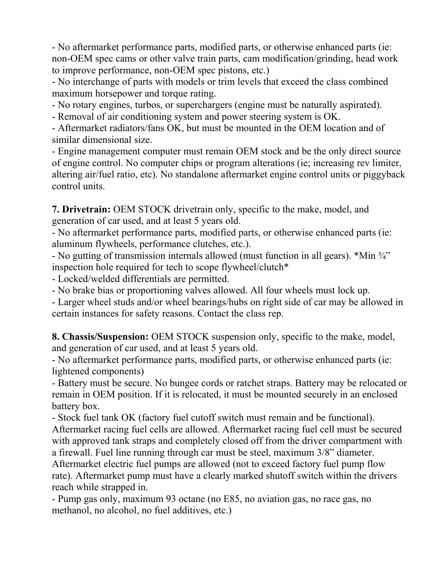- No aftermarket performance parts, modified parts, or otherwise enhanced parts (ie: non-OEM spec cams or other valve train parts, cam modification/grinding, head work to improve performance, non-OEM spec pistons, etc.)

- No interchange of parts with models or trim levels that exceed the class combined maximum horsepower and torque rating.

- No rotary engines, turbos, or superchargers (engine must be naturally aspirated).

- Removal of air conditioning system and power steering system is OK.

- Aftermarket radiators/fans OK, but must be mounted in the OEM location and of similar dimensional size.

- Engine management computer must remain OEM stock and be the only direct source of engine control. No computer chips or program alterations (ie; increasing rev limiter, altering air/fuel ratio, etc). No standalone aftermarket engine control units or piggyback control units.

**7. Drivetrain:** OEM STOCK drivetrain only, specific to the make, model, and generation of car used, and at least 5 years old.

- No aftermarket performance parts, modified parts, or otherwise enhanced parts (ie: aluminum flywheels, performance clutches, etc.).

- No gutting of transmission internals allowed (must function in all gears). \*Min ¾" inspection hole required for tech to scope flywheel/clutch\*

- Locked/welded differentials are permitted.

- No brake bias or proportioning valves allowed. All four wheels must lock up.

- Larger wheel studs and/or wheel bearings/hubs on right side of car may be allowed in certain instances for safety reasons. Contact the class rep.

**8. Chassis/Suspension:** OEM STOCK suspension only, specific to the make, model, and generation of car used, and at least 5 years old.

- No aftermarket performance parts, modified parts, or otherwise enhanced parts (ie: lightened components)

- Battery must be secure. No bungee cords or ratchet straps. Battery may be relocated or remain in OEM position. If it is relocated, it must be mounted securely in an enclosed battery box.

- Stock fuel tank OK (factory fuel cutoff switch must remain and be functional). Aftermarket racing fuel cells are allowed. Aftermarket racing fuel cell must be secured with approved tank straps and completely closed off from the driver compartment with a firewall. Fuel line running through car must be steel, maximum 3/8" diameter.

Aftermarket electric fuel pumps are allowed (not to exceed factory fuel pump flow rate). Aftermarket pump must have a clearly marked shutoff switch within the drivers reach while strapped in.

- Pump gas only, maximum 93 octane (no E85, no aviation gas, no race gas, no methanol, no alcohol, no fuel additives, etc.)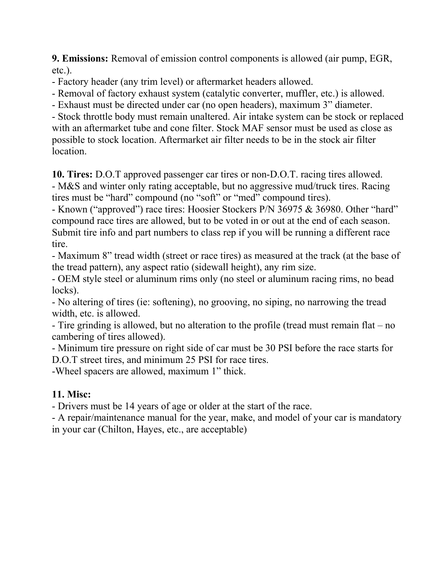**9. Emissions:** Removal of emission control components is allowed (air pump, EGR, etc.).

- Factory header (any trim level) or aftermarket headers allowed.

- Removal of factory exhaust system (catalytic converter, muffler, etc.) is allowed.

- Exhaust must be directed under car (no open headers), maximum 3" diameter.

- Stock throttle body must remain unaltered. Air intake system can be stock or replaced with an aftermarket tube and cone filter. Stock MAF sensor must be used as close as possible to stock location. Aftermarket air filter needs to be in the stock air filter location.

**10. Tires:** D.O.T approved passenger car tires or non-D.O.T. racing tires allowed. - M&S and winter only rating acceptable, but no aggressive mud/truck tires. Racing tires must be "hard" compound (no "soft" or "med" compound tires).

- Known ("approved") race tires: Hoosier Stockers P/N 36975 & 36980. Other "hard" compound race tires are allowed, but to be voted in or out at the end of each season. Submit tire info and part numbers to class rep if you will be running a different race tire.

- Maximum 8" tread width (street or race tires) as measured at the track (at the base of the tread pattern), any aspect ratio (sidewall height), any rim size.

- OEM style steel or aluminum rims only (no steel or aluminum racing rims, no bead locks).

- No altering of tires (ie: softening), no grooving, no siping, no narrowing the tread width, etc. is allowed.

- Tire grinding is allowed, but no alteration to the profile (tread must remain flat – no cambering of tires allowed).

- Minimum tire pressure on right side of car must be 30 PSI before the race starts for D.O.T street tires, and minimum 25 PSI for race tires.

-Wheel spacers are allowed, maximum 1" thick.

## **11. Misc:**

- Drivers must be 14 years of age or older at the start of the race.

- A repair/maintenance manual for the year, make, and model of your car is mandatory in your car (Chilton, Hayes, etc., are acceptable)